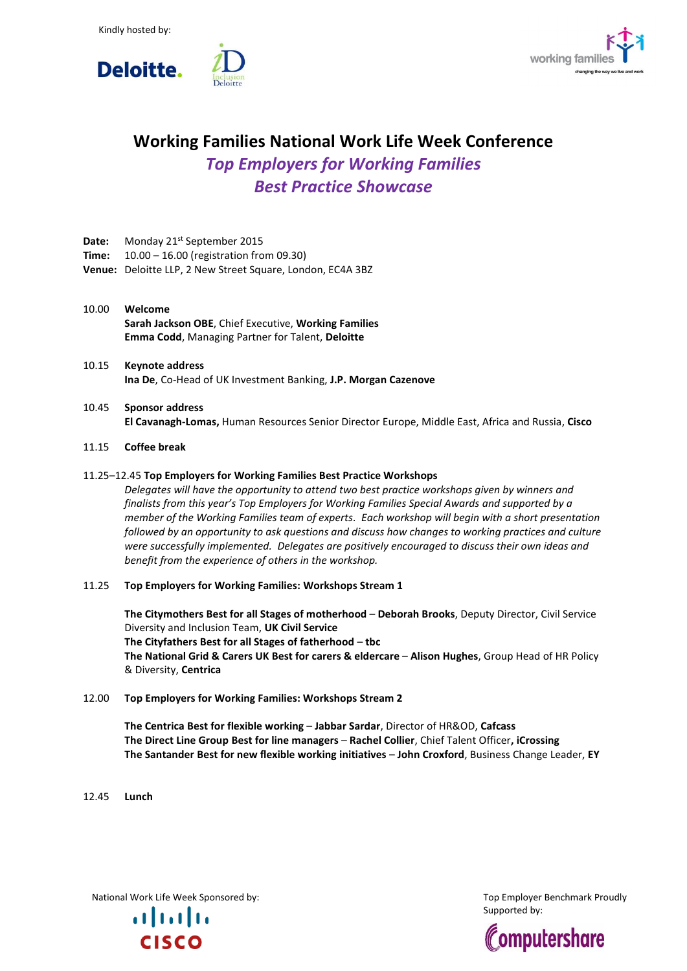



# **Working Families National Work Life Week Conference** *Top Employers for Working Families Best Practice Showcase*

- Date: Monday 21<sup>st</sup> September 2015
- **Time:** 10.00 16.00 (registration from 09.30)
- **Venue:** Deloitte LLP, 2 New Street Square, London, EC4A 3BZ
- 10.00 **Welcome Sarah Jackson OBE**, Chief Executive, **Working Families Emma Codd**, Managing Partner for Talent, **Deloitte**
- 10.15 **Keynote address Ina De**, Co-Head of UK Investment Banking, **J.P. Morgan Cazenove**
- 10.45 **Sponsor address El Cavanagh-Lomas,** Human Resources Senior Director Europe, Middle East, Africa and Russia, **Cisco**

# 11.15 **Coffee break**

## 11.25–12.45 **Top Employers for Working Families Best Practice Workshops**

*Delegates will have the opportunity to attend two best practice workshops given by winners and finalists from this year's Top Employers for Working Families Special Awards and supported by a member of the Working Families team of experts. Each workshop will begin with a short presentation followed by an opportunity to ask questions and discuss how changes to working practices and culture were successfully implemented. Delegates are positively encouraged to discuss their own ideas and benefit from the experience of others in the workshop.*

#### 11.25 **Top Employers for Working Families: Workshops Stream 1**

**The Citymothers Best for all Stages of motherhood** – **Deborah Brooks**, Deputy Director, Civil Service Diversity and Inclusion Team, **UK Civil Service The Cityfathers Best for all Stages of fatherhood** – **tbc The National Grid & Carers UK Best for carers & eldercare** – **Alison Hughes**, Group Head of HR Policy & Diversity, **Centrica**

12.00 **Top Employers for Working Families: Workshops Stream 2**

**The Centrica Best for flexible working** – **Jabbar Sardar**, Director of HR&OD, **Cafcass The Direct Line Group Best for line managers** – **Rachel Collier**, Chief Talent Officer**, iCrossing The Santander Best for new flexible working initiatives** – **John Croxford**, Business Change Leader, **EY**

12.45 **Lunch**

National Work Life Week Sponsored by: The Communicational Work Life Week Sponsored by: The Communication of the Top Employer Benchmark Proudly

 $\mathbf{d}$ **CISCO** 

Supported by: